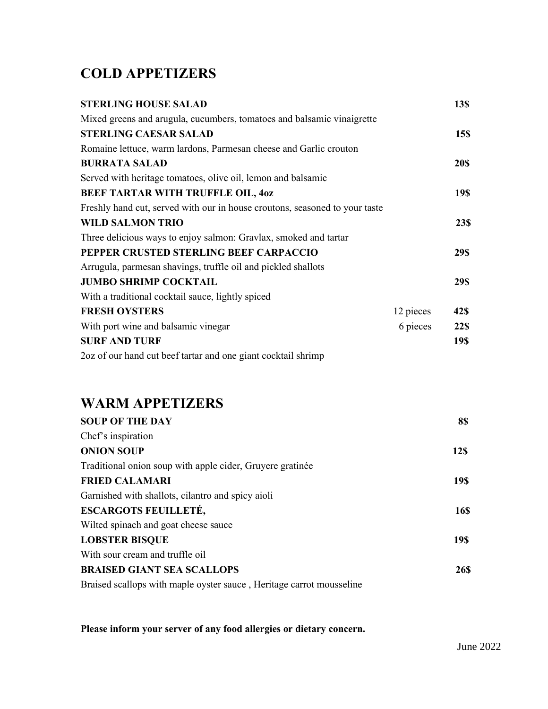# **COLD APPETIZERS**

| <b>STERLING HOUSE SALAD</b>                                                 |           | 13\$        |
|-----------------------------------------------------------------------------|-----------|-------------|
| Mixed greens and arugula, cucumbers, tomatoes and balsamic vinaigrette      |           |             |
| <b>STERLING CAESAR SALAD</b>                                                |           | 15\$        |
| Romaine lettuce, warm lardons, Parmesan cheese and Garlic crouton           |           |             |
| <b>BURRATA SALAD</b>                                                        |           | <b>20\$</b> |
| Served with heritage tomatoes, olive oil, lemon and balsamic                |           |             |
| BEEF TARTAR WITH TRUFFLE OIL, 40Z                                           |           | <b>19\$</b> |
| Freshly hand cut, served with our in house croutons, seasoned to your taste |           |             |
| <b>WILD SALMON TRIO</b>                                                     |           | 23\$        |
| Three delicious ways to enjoy salmon: Gravlax, smoked and tartar            |           |             |
| PEPPER CRUSTED STERLING BEEF CARPACCIO                                      |           | 29\$        |
| Arrugula, parmesan shavings, truffle oil and pickled shallots               |           |             |
| <b>JUMBO SHRIMP COCKTAIL</b>                                                |           | 29\$        |
| With a traditional cocktail sauce, lightly spiced                           |           |             |
| <b>FRESH OYSTERS</b>                                                        | 12 pieces | 42\$        |
| With port wine and balsamic vinegar                                         | 6 pieces  | 22\$        |
| <b>SURF AND TURF</b>                                                        |           | 19\$        |
| 2oz of our hand cut beef tartar and one giant cocktail shrimp               |           |             |

## **WARM APPETIZERS**

| <b>SOUP OF THE DAY</b>                                               | 8\$         |
|----------------------------------------------------------------------|-------------|
| Chef's inspiration                                                   |             |
| <b>ONION SOUP</b>                                                    | <b>12S</b>  |
| Traditional onion soup with apple cider, Gruyere gratinée            |             |
| <b>FRIED CALAMARI</b>                                                | <b>19\$</b> |
| Garnished with shallots, cilantro and spicy aioli                    |             |
| <b>ESCARGOTS FEUILLETÉ,</b>                                          | <b>16\$</b> |
| Wilted spinach and goat cheese sauce                                 |             |
| <b>LOBSTER BISQUE</b>                                                | <b>19\$</b> |
| With sour cream and truffle oil                                      |             |
| <b>BRAISED GIANT SEA SCALLOPS</b>                                    | <b>26S</b>  |
| Braised scallops with maple oyster sauce, Heritage carrot mousseline |             |

**Please inform your server of any food allergies or dietary concern.**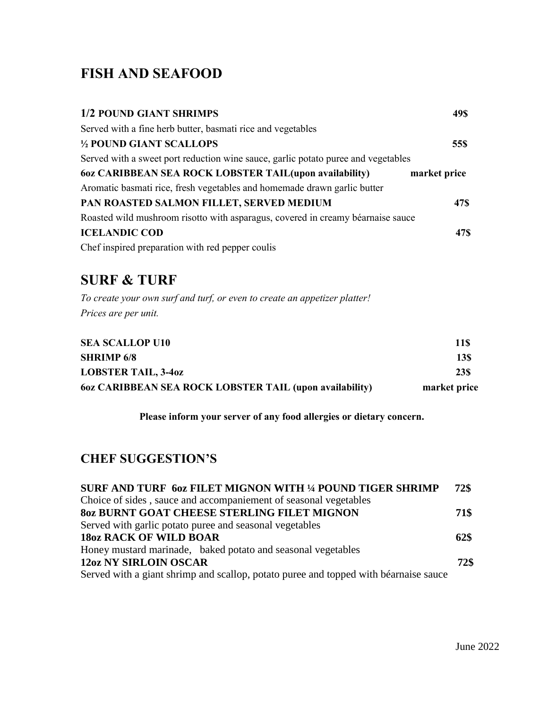# **FISH AND SEAFOOD**

| 1/2 POUND GIANT SHRIMPS                                                           | 49\$         |
|-----------------------------------------------------------------------------------|--------------|
| Served with a fine herb butter, basmati rice and vegetables                       |              |
| 1/2 POUND GIANT SCALLOPS                                                          | 55\$         |
| Served with a sweet port reduction wine sauce, garlic potato puree and vegetables |              |
| 60z CARIBBEAN SEA ROCK LOBSTER TAIL(upon availability)                            | market price |
| Aromatic basmati rice, fresh vegetables and homemade drawn garlic butter          |              |
| PAN ROASTED SALMON FILLET, SERVED MEDIUM                                          | 47\$         |
| Roasted wild mushroom risotto with asparagus, covered in creamy béarnaise sauce   |              |
| <b>ICELANDIC COD</b>                                                              | <b>47\$</b>  |
| Chef inspired preparation with red pepper coulis                                  |              |

### **SURF & TURF**

*To create your own surf and turf, or even to create an appetizer platter! Prices are per unit.*

| <b>SEA SCALLOP U10</b>                                  | 11\$         |
|---------------------------------------------------------|--------------|
| <b>SHRIMP 6/8</b>                                       | 13\$         |
| <b>LOBSTER TAIL, 3-40Z</b>                              | <b>23\$</b>  |
| 60z CARIBBEAN SEA ROCK LOBSTER TAIL (upon availability) | market price |

**Please inform your server of any food allergies or dietary concern.**

### **CHEF SUGGESTION'S**

| <b>SURF AND TURF 60Z FILET MIGNON WITH 1/4 POUND TIGER SHRIMP</b>                    | 72\$ |
|--------------------------------------------------------------------------------------|------|
| Choice of sides, sauce and accompaniement of seasonal vegetables                     |      |
| <b>80z BURNT GOAT CHEESE STERLING FILET MIGNON</b>                                   | 71\$ |
| Served with garlic potato puree and seasonal vegetables                              |      |
| <b>18oz RACK OF WILD BOAR</b>                                                        | 62\$ |
| Honey mustard marinade, baked potato and seasonal vegetables                         |      |
| <b>12oz NY SIRLOIN OSCAR</b>                                                         | 72\$ |
| Served with a giant shrimp and scallop, potato puree and topped with béarnaise sauce |      |